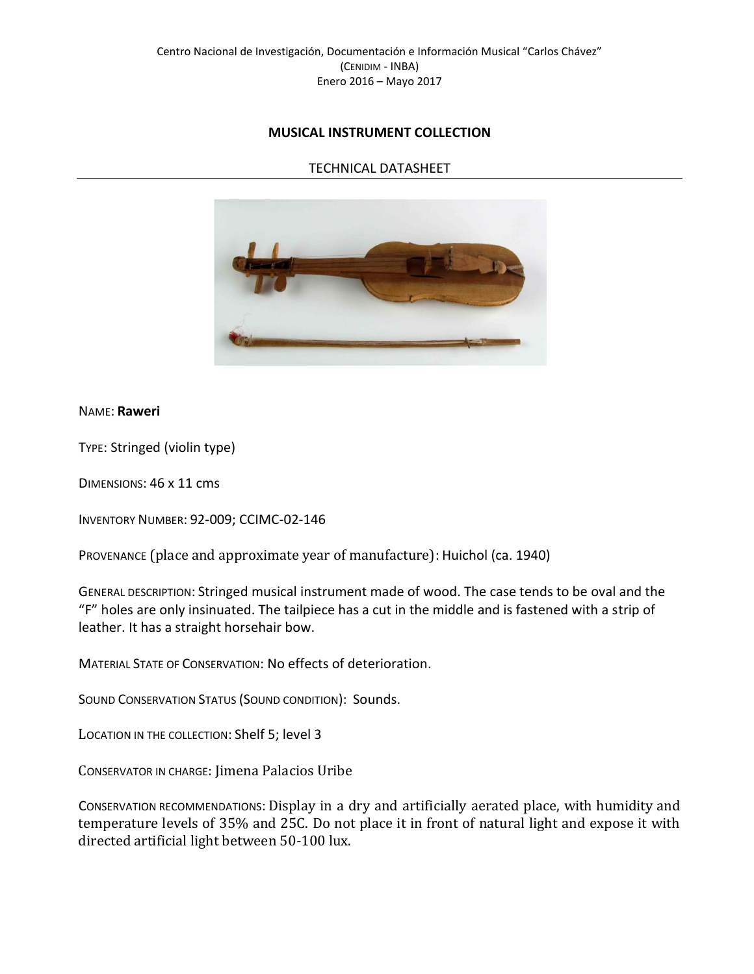# **MUSICAL INSTRUMENT COLLECTION**

## TECHNICAL DATASHEET



#### NAME: **Raweri**

TYPE: Stringed (violin type)

DIMENSIONS: 46 x 11 cms

INVENTORY NUMBER: 92-009; CCIMC-02-146

PROVENANCE (place and approximate year of manufacture): Huichol (ca. 1940)

GENERAL DESCRIPTION: Stringed musical instrument made of wood. The case tends to be oval and the "F" holes are only insinuated. The tailpiece has a cut in the middle and is fastened with a strip of leather. It has a straight horsehair bow.

MATERIAL STATE OF CONSERVATION: No effects of deterioration.

SOUND CONSERVATION STATUS (SOUND CONDITION): Sounds.

LOCATION IN THE COLLECTION: Shelf 5; level 3

CONSERVATOR IN CHARGE: Jimena Palacios Uribe

CONSERVATION RECOMMENDATIONS: Display in a dry and artificially aerated place, with humidity and temperature levels of 35% and 25C. Do not place it in front of natural light and expose it with directed artificial light between 50-100 lux.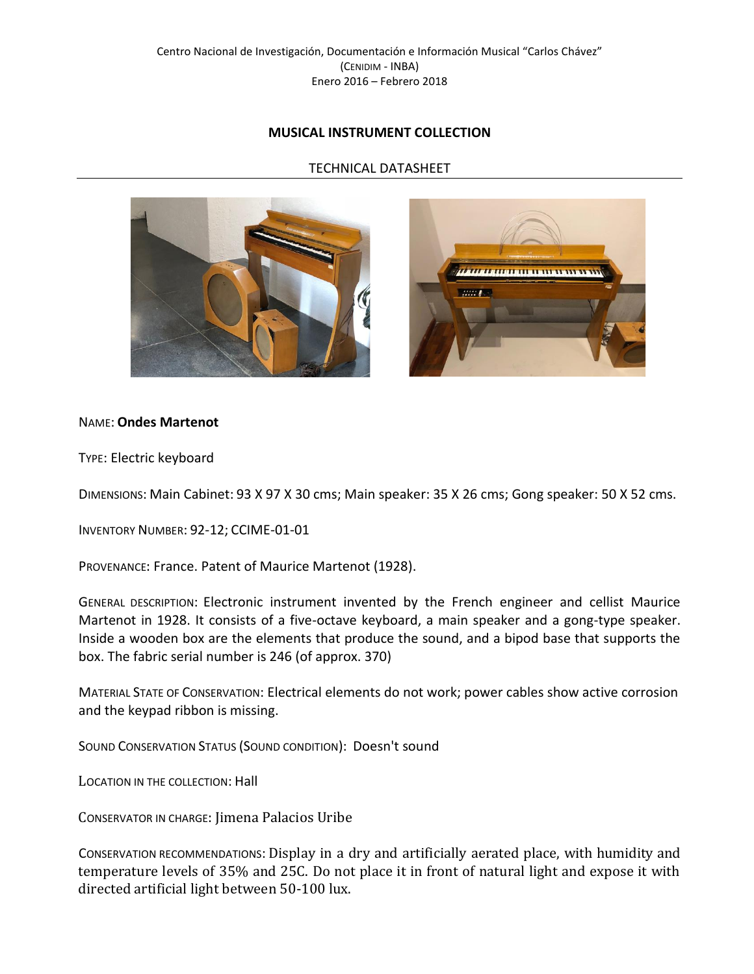# **MUSICAL INSTRUMENT COLLECTION**

## TECHNICAL DATASHEET





#### NAME: **Ondes Martenot**

TYPE: Electric keyboard

DIMENSIONS: Main Cabinet: 93 X 97 X 30 cms; Main speaker: 35 X 26 cms; Gong speaker: 50 X 52 cms.

INVENTORY NUMBER: 92-12; CCIME-01-01

PROVENANCE: France. Patent of Maurice Martenot (1928).

GENERAL DESCRIPTION: Electronic instrument invented by the French engineer and cellist Maurice Martenot in 1928. It consists of a five-octave keyboard, a main speaker and a gong-type speaker. Inside a wooden box are the elements that produce the sound, and a bipod base that supports the box. The fabric serial number is 246 (of approx. 370)

MATERIAL STATE OF CONSERVATION: Electrical elements do not work; power cables show active corrosion and the keypad ribbon is missing.

SOUND CONSERVATION STATUS (SOUND CONDITION): Doesn't sound

LOCATION IN THE COLLECTION: Hall

CONSERVATOR IN CHARGE: Jimena Palacios Uribe

CONSERVATION RECOMMENDATIONS: Display in a dry and artificially aerated place, with humidity and temperature levels of 35% and 25C. Do not place it in front of natural light and expose it with directed artificial light between 50-100 lux.